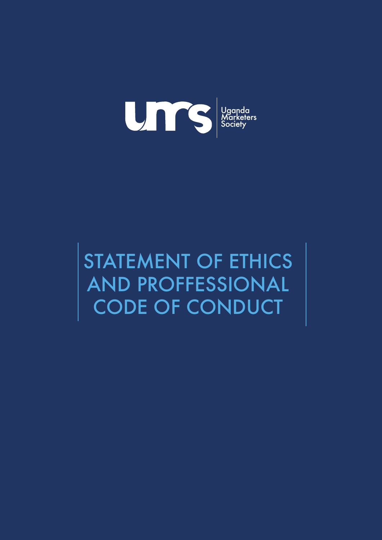

STATEMENT OF ETHICS AND PROFFESSIONAL CODE OF CONDUCT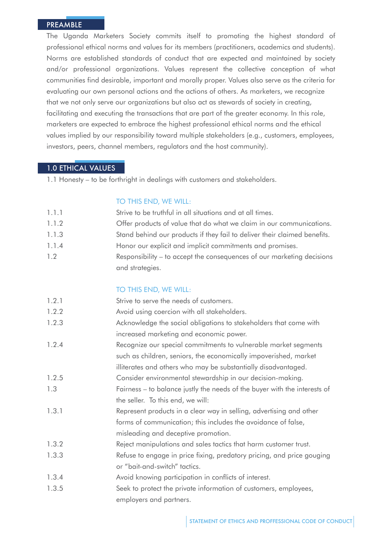### PREAMBLE

The Uganda Marketers Society commits itself to promoting the highest standard of professional ethical norms and values for its members (practitioners, academics and students). Norms are established standards of conduct that are expected and maintained by society and/or professional organizations. Values represent the collective conception of what communities find desirable, important and morally proper. Values also serve as the criteria for evaluating our own personal actions and the actions of others. As marketers, we recognize that we not only serve our organizations but also act as stewards of society in creating, facilitating and executing the transactions that are part of the greater economy. In this role, marketers are expected to embrace the highest professional ethical norms and the ethical values implied by our responsibility toward multiple stakeholders (e.g., customers, employees, investors, peers, channel members, regulators and the host community).

# 1.0 ETHICAL VALUES

1.1 Honesty – to be forthright in dealings with customers and stakeholders.

#### TO THIS END, WE WILL:

| 1.1.1 | Strive to be truthful in all situations and at all times.                 |
|-------|---------------------------------------------------------------------------|
| 1.1.2 | Offer products of value that do what we claim in our communications.      |
| 1.1.3 | Stand behind our products if they fail to deliver their claimed benefits. |
| 1.1.4 | Honor our explicit and implicit commitments and promises.                 |
| 1.2   | Responsibility – to accept the consequences of our marketing decisions    |
|       |                                                                           |

#### TO THIS END, WE WILL:

and strategies.

| 1.2.1 | Strive to serve the needs of customers.                                   |
|-------|---------------------------------------------------------------------------|
| 1.2.2 | Avoid using coercion with all stakeholders.                               |
| 1.2.3 | Acknowledge the social obligations to stakeholders that come with         |
|       | increased marketing and economic power.                                   |
| 1.2.4 | Recognize our special commitments to vulnerable market segments           |
|       | such as children, seniors, the economically impoverished, market          |
|       | illiterates and others who may be substantially disadvantaged.            |
| 1.2.5 | Consider environmental stewardship in our decision-making.                |
| 1.3   | Fairness – to balance justly the needs of the buyer with the interests of |
|       | the seller. To this end, we will:                                         |
| 1.3.1 | Represent products in a clear way in selling, advertising and other       |
|       | forms of communication; this includes the avoidance of false,             |
|       | misleading and deceptive promotion.                                       |
| 1.3.2 | Reject manipulations and sales tactics that harm customer trust.          |
| 1.3.3 | Refuse to engage in price fixing, predatory pricing, and price gouging    |
|       | or "bait-and-switch" tactics.                                             |
| 1.3.4 | Avoid knowing participation in conflicts of interest.                     |
| 1.3.5 | Seek to protect the private information of customers, employees,          |
|       | employers and partners.                                                   |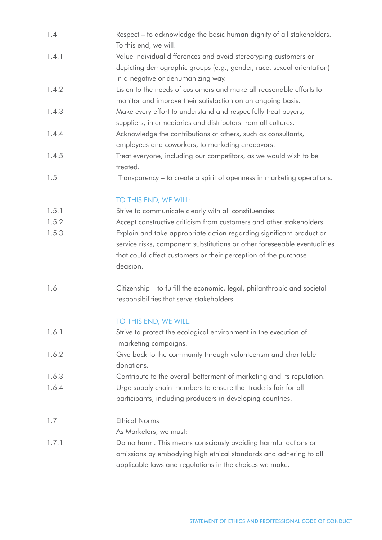| 1.4   | Respect - to acknowledge the basic human dignity of all stakeholders.<br>To this end, we will:                                                            |
|-------|-----------------------------------------------------------------------------------------------------------------------------------------------------------|
| 1.4.1 | Value individual differences and avoid stereotyping customers or                                                                                          |
|       | depicting demographic groups (e.g., gender, race, sexual orientation)<br>in a negative or dehumanizing way.                                               |
| 1.4.2 | Listen to the needs of customers and make all reasonable efforts to<br>monitor and improve their satisfaction on an ongoing basis.                        |
| 1.4.3 | Make every effort to understand and respectfully treat buyers,<br>suppliers, intermediaries and distributors from all cultures.                           |
| 1.4.4 | Acknowledge the contributions of others, such as consultants,<br>employees and coworkers, to marketing endeavors.                                         |
| 1.4.5 | Treat everyone, including our competitors, as we would wish to be<br>treated.                                                                             |
| 1.5   | Transparency – to create a spirit of openness in marketing operations.                                                                                    |
|       | TO THIS END, WE WILL:                                                                                                                                     |
| 1.5.1 | Strive to communicate clearly with all constituencies.                                                                                                    |
| 1.5.2 | Accept constructive criticism from customers and other stakeholders.                                                                                      |
| 1.5.3 | Explain and take appropriate action regarding significant product or                                                                                      |
|       | service risks, component substitutions or other foreseeable eventualities<br>that could affect customers or their perception of the purchase<br>decision. |
| 1.6   | Citizenship - to fulfill the economic, legal, philanthropic and societal<br>responsibilities that serve stakeholders.                                     |
|       | TO THIS END, WE WILL:                                                                                                                                     |
| 1.6.1 | Strive to protect the ecological environment in the execution of<br>marketing campaigns.                                                                  |
| 1.6.2 | Give back to the community through volunteerism and charitable<br>donations.                                                                              |
| 1.6.3 | Contribute to the overall betterment of marketing and its reputation.                                                                                     |
| 1.6.4 | Urge supply chain members to ensure that trade is fair for all                                                                                            |
|       | participants, including producers in developing countries.                                                                                                |

1.7 Ethical Norms

As Marketers, we must:

1.7.1 Do no harm. This means consciously avoiding harmful actions or omissions by embodying high ethical standards and adhering to all applicable laws and regulations in the choices we make.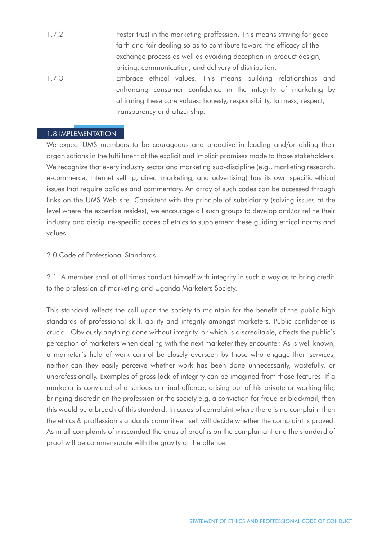- 1.7.2 Foster trust in the marketing proffession. This means striving for good faith and fair dealing so as to contribute toward the efficacy of the exchange process as well as avoiding deception in product design, pricing, communication, and delivery of distribution. 1.7.3 Embrace ethical values. This means building relationships and
- enhancing consumer confidence in the integrity of marketing by affirming these core values: honesty, responsibility, fairness, respect, transparency and citizenship.

## 1.8 IMPLEMENTATION

We expect UMS members to be courageous and proactive in leading and/or aiding their organizations in the fulfillment of the explicit and implicit promises made to those stakeholders. We recognize that every industry sector and marketing sub-discipline (e.g., marketing research, e-commerce, Internet selling, direct marketing, and advertising) has its own specific ethical issues that require policies and commentary. An array of such codes can be accessed through links on the UMS Web site. Consistent with the principle of subsidiarity (solving issues at the level where the expertise resides), we encourage all such groups to develop and/or refine their industry and discipline-specific codes of ethics to supplement these guiding ethical norms and values.

### 2.0 Code of Professional Standards

2.1 A member shall at all times conduct himself with integrity in such a way as to bring credit to the profession of marketing and Uganda Marketers Society.

This standard reflects the call upon the society to maintain for the benefit of the public high standards of professional skill, ability and integrity amongst marketers. Public confidence is crucial. Obviously anything done without integrity, or which is discreditable, affects the public's perception of marketers when dealing with the next marketer they encounter. As is well known, a marketer's field of work cannot be closely overseen by those who engage their services, neither can they easily perceive whether work has been done unnecessarily, wastefully, or unprofessionally. Examples of gross lack of integrity can be imagined from those features. If a marketer is convicted of a serious criminal offence, arising out of his private or working life, bringing discredit on the profession or the society e.g. a conviction for fraud or blackmail, then this would be a breach of this standard. In cases of complaint where there is no complaint then the ethics & proffession standards committee itself will decide whether the complaint is proved. As in all complaints of misconduct the onus of proof is on the complainant and the standard of proof will be commensurate with the gravity of the offence.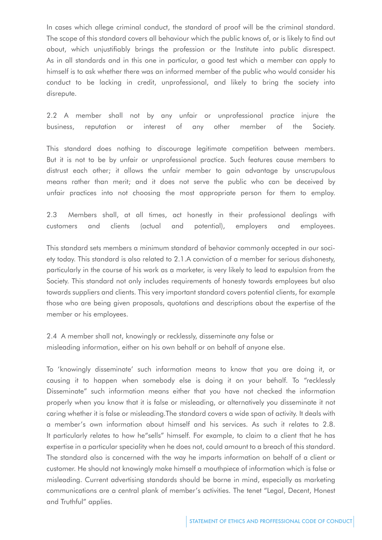In cases which allege criminal conduct, the standard of proof will be the criminal standard. The scope of this standard covers all behaviour which the public knows of, or is likely to find out about, which unjustifiably brings the profession or the Institute into public disrespect. As in all standards and in this one in particular, a good test which a member can apply to himself is to ask whether there was an informed member of the public who would consider his conduct to be lacking in credit, unprofessional, and likely to bring the society into disrepute.

2.2 A member shall not by any unfair or unprofessional practice injure the business, reputation or interest of any other member of the Society.

This standard does nothing to discourage legitimate competition between members. But it is not to be by unfair or unprofessional practice. Such features cause members to distrust each other; it allows the unfair member to gain advantage by unscrupulous means rather than merit; and it does not serve the public who can be deceived by unfair practices into not choosing the most appropriate person for them to employ.

2.3 Members shall, at all times, act honestly in their professional dealings with customers and clients (actual and potential), employers and employees.

This standard sets members a minimum standard of behavior commonly accepted in our society today. This standard is also related to 2.1.A conviction of a member for serious dishonesty, particularly in the course of his work as a marketer, is very likely to lead to expulsion from the Society. This standard not only includes requirements of honesty towards employees but also towards suppliers and clients. This very important standard covers potential clients, for example those who are being given proposals, quotations and descriptions about the expertise of the member or his employees.

2.4 A member shall not, knowingly or recklessly, disseminate any false or misleading information, either on his own behalf or on behalf of anyone else.

To 'knowingly disseminate' such information means to know that you are doing it, or causing it to happen when somebody else is doing it on your behalf. To "recklessly Disseminate" such information means either that you have not checked the information properly when you know that it is false or misleading, or alternatively you disseminate it not caring whether it is false or misleading.The standard covers a wide span of activity. It deals with a member's own information about himself and his services. As such it relates to 2.8. It particularly relates to how he"sells" himself. For example, to claim to a client that he has expertise in a particular speciality when he does not, could amount to a breach of this standard. The standard also is concerned with the way he imparts information on behalf of a client or customer. He should not knowingly make himself a mouthpiece of information which is false or misleading. Current advertising standards should be borne in mind, especially as marketing communications are a central plank of member's activities. The tenet "Legal, Decent, Honest and Truthful" applies.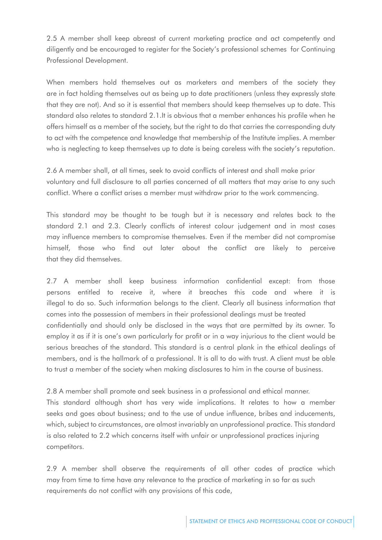2.5 A member shall keep abreast of current marketing practice and act competently and diligently and be encouraged to register for the Society's professional schemes for Continuing Professional Development.

When members hold themselves out as marketers and members of the society they are in fact holding themselves out as being up to date practitioners (unless they expressly state that they are not). And so it is essential that members should keep themselves up to date. This standard also relates to standard 2.1.It is obvious that a member enhances his profile when he offers himself as a member of the society, but the right to do that carries the corresponding duty to act with the competence and knowledge that membership of the Institute implies. A member who is neglecting to keep themselves up to date is being careless with the society's reputation.

2.6 A member shall, at all times, seek to avoid conflicts of interest and shall make prior voluntary and full disclosure to all parties concerned of all matters that may arise to any such conflict. Where a conflict arises a member must withdraw prior to the work commencing.

This standard may be thought to be tough but it is necessary and relates back to the standard 2.1 and 2.3. Clearly conflicts of interest colour judgement and in most cases may influence members to compromise themselves. Even if the member did not compromise himself, those who find out later about the conflict are likely to perceive that they did themselves.

2.7 A member shall keep business information confidential except: from those persons entitled to receive it, where it breaches this code and where it is illegal to do so. Such information belongs to the client. Clearly all business information that comes into the possession of members in their professional dealings must be treated confidentially and should only be disclosed in the ways that are permitted by its owner. To employ it as if it is one's own particularly for profit or in a way injurious to the client would be serious breaches of the standard. This standard is a central plank in the ethical dealings of members, and is the hallmark of a professional. It is all to do with trust. A client must be able to trust a member of the society when making disclosures to him in the course of business.

2.8 A member shall promote and seek business in a professional and ethical manner. This standard although short has very wide implications. It relates to how a member seeks and goes about business; and to the use of undue influence, bribes and inducements, which, subject to circumstances, are almost invariably an unprofessional practice. This standard is also related to 2.2 which concerns itself with unfair or unprofessional practices injuring competitors.

2.9 A member shall observe the requirements of all other codes of practice which may from time to time have any relevance to the practice of marketing in so far as such requirements do not conflict with any provisions of this code,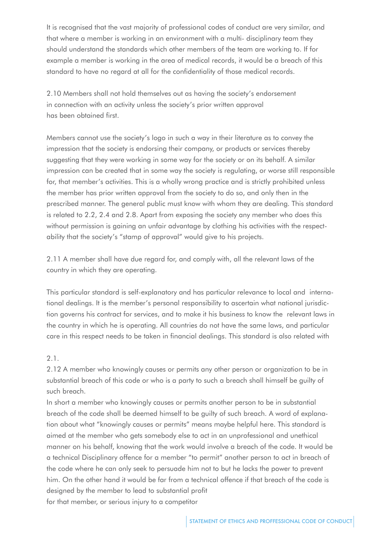It is recognised that the vast majority of professional codes of conduct are very similar, and that where a member is working in an environment with a multi- disciplinary team they should understand the standards which other members of the team are working to. If for example a member is working in the area of medical records, it would be a breach of this standard to have no regard at all for the confidentiality of those medical records.

2.10 Members shall not hold themselves out as having the society's endorsement in connection with an activity unless the society's prior written approval has been obtained first.

Members cannot use the society's logo in such a way in their literature as to convey the impression that the society is endorsing their company, or products or services thereby suggesting that they were working in some way for the society or on its behalf. A similar impression can be created that in some way the society is regulating, or worse still responsible for, that member's activities. This is a wholly wrong practice and is strictly prohibited unless the member has prior written approval from the society to do so, and only then in the prescribed manner. The general public must know with whom they are dealing. This standard is related to 2.2, 2.4 and 2.8. Apart from exposing the society any member who does this without permission is gaining an unfair advantage by clothing his activities with the respectability that the society's "stamp of approval" would give to his projects.

2.11 A member shall have due regard for, and comply with, all the relevant laws of the country in which they are operating.

This particular standard is self-explanatory and has particular relevance to local and international dealings. It is the member's personal responsibility to ascertain what national jurisdiction governs his contract for services, and to make it his business to know the relevant laws in the country in which he is operating. All countries do not have the same laws, and particular care in this respect needs to be taken in financial dealings. This standard is also related with

## 2.1.

2.12 A member who knowingly causes or permits any other person or organization to be in substantial breach of this code or who is a party to such a breach shall himself be guilty of such breach.

In short a member who knowingly causes or permits another person to be in substantial breach of the code shall be deemed himself to be guilty of such breach. A word of explanation about what "knowingly causes or permits" means maybe helpful here. This standard is aimed at the member who gets somebody else to act in an unprofessional and unethical manner on his behalf, knowing that the work would involve a breach of the code. It would be a technical Disciplinary offence for a member "to permit" another person to act in breach of the code where he can only seek to persuade him not to but he lacks the power to prevent him. On the other hand it would be far from a technical offence if that breach of the code is designed by the member to lead to substantial profit for that member, or serious injury to a competitor

STATEMENT OF ETHICS AND PROFFESSIONAL CODE OF CONDUCT